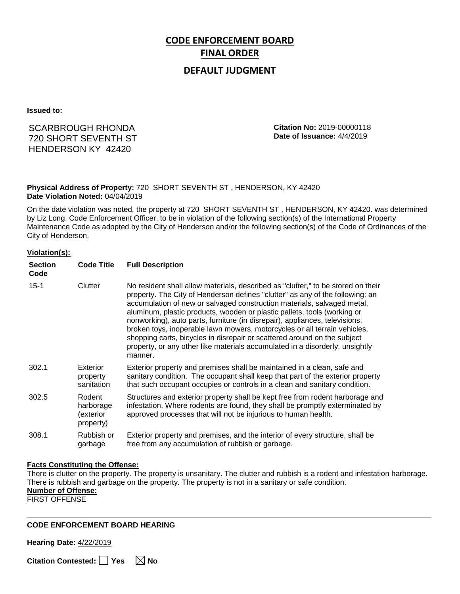# **CODE ENFORCEMENT BOARD FINAL ORDER**

## **DEFAULT JUDGMENT**

**Issued to:**

## SCARBROUGH RHONDA 720 SHORT SEVENTH ST HENDERSON KY 42420

**Citation No:** 2019-00000118 **Date of Issuance:** 4/4/2019

#### **Physical Address of Property:** 720 SHORT SEVENTH ST , HENDERSON, KY 42420 **Date Violation Noted:** 04/04/2019

On the date violation was noted, the property at 720 SHORT SEVENTH ST , HENDERSON, KY 42420. was determined by Liz Long, Code Enforcement Officer, to be in violation of the following section(s) of the International Property Maintenance Code as adopted by the City of Henderson and/or the following section(s) of the Code of Ordinances of the City of Henderson.

#### **Violation(s):**

| <b>Section</b><br>Code | <b>Code Title</b>                             | <b>Full Description</b>                                                                                                                                                                                                                                                                                                                                                                                                                                                                                                                                                                                                                                     |
|------------------------|-----------------------------------------------|-------------------------------------------------------------------------------------------------------------------------------------------------------------------------------------------------------------------------------------------------------------------------------------------------------------------------------------------------------------------------------------------------------------------------------------------------------------------------------------------------------------------------------------------------------------------------------------------------------------------------------------------------------------|
| $15 - 1$               | Clutter                                       | No resident shall allow materials, described as "clutter," to be stored on their<br>property. The City of Henderson defines "clutter" as any of the following: an<br>accumulation of new or salvaged construction materials, salvaged metal,<br>aluminum, plastic products, wooden or plastic pallets, tools (working or<br>nonworking), auto parts, furniture (in disrepair), appliances, televisions,<br>broken toys, inoperable lawn mowers, motorcycles or all terrain vehicles,<br>shopping carts, bicycles in disrepair or scattered around on the subject<br>property, or any other like materials accumulated in a disorderly, unsightly<br>manner. |
| 302.1                  | Exterior<br>property<br>sanitation            | Exterior property and premises shall be maintained in a clean, safe and<br>sanitary condition. The occupant shall keep that part of the exterior property<br>that such occupant occupies or controls in a clean and sanitary condition.                                                                                                                                                                                                                                                                                                                                                                                                                     |
| 302.5                  | Rodent<br>harborage<br>exterior)<br>property) | Structures and exterior property shall be kept free from rodent harborage and<br>infestation. Where rodents are found, they shall be promptly exterminated by<br>approved processes that will not be injurious to human health.                                                                                                                                                                                                                                                                                                                                                                                                                             |
| 308.1                  | Rubbish or<br>garbage                         | Exterior property and premises, and the interior of every structure, shall be<br>free from any accumulation of rubbish or garbage.                                                                                                                                                                                                                                                                                                                                                                                                                                                                                                                          |

#### **Facts Constituting the Offense:**

There is clutter on the property. The property is unsanitary. The clutter and rubbish is a rodent and infestation harborage. There is rubbish and garbage on the property. The property is not in a sanitary or safe condition. **Number of Offense:** FIRST OFFENSE

#### **CODE ENFORCEMENT BOARD HEARING**

**Hearing Date:** 4/22/2019

**Citation Contested:** ■ Yes  $\ \ \ \ \ \ \ \ \ \ \ \ \ \ \ \ \ \$  No